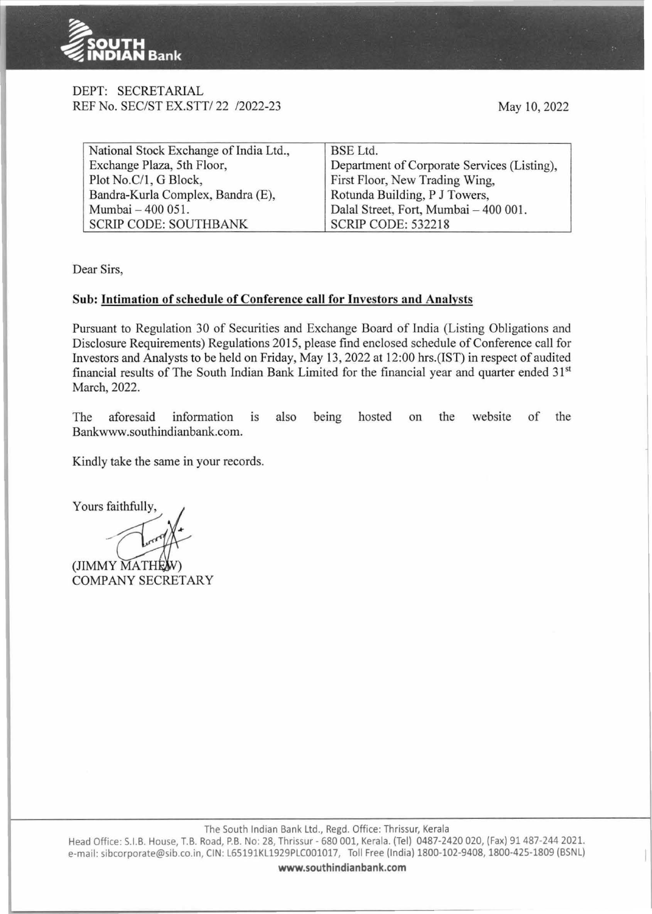

### DEPT: SECRETARIAL REF No. SEC/ST EX.STT/ 22 /2022-23

May 10, 2022

| National Stock Exchange of India Ltd.,                     | BSE Ltd.                                    |  |
|------------------------------------------------------------|---------------------------------------------|--|
| Exchange Plaza, 5th Floor,                                 | Department of Corporate Services (Listing), |  |
| Plot No.C/1, G Block,                                      | First Floor, New Trading Wing,              |  |
| Bandra-Kurla Complex, Bandra (E),                          | Rotunda Building, P J Towers,               |  |
| Dalal Street, Fort, Mumbai - 400 001.<br>Mumbai - 400 051. |                                             |  |
| <b>SCRIP CODE: SOUTHBANK</b>                               | <b>SCRIP CODE: 532218</b>                   |  |

Dear Sirs,

## **Sub: Intimation of schedule of Conference call for Investors and Analysts**

Pursuant to Regulation 30 of Securities and Exchange Board of India (Listing Obligations and Disclosure Requirements) Regulations 2015, please find enclosed schedule of Conference call for Investors and Analysts to be held on Friday, May 13, 2022 at 12:00 hrs.(IST) in respect of audited financial results of The South Indian Bank Limited for the financial year and quarter ended 31st March, 2022.

The aforesaid information is also being hosted on the website of the Bankwww.southindianbank.com.

Kindly take the same in your records.

Yours faithfully,

(JIMMY MATHE COMPANY SECRETARY